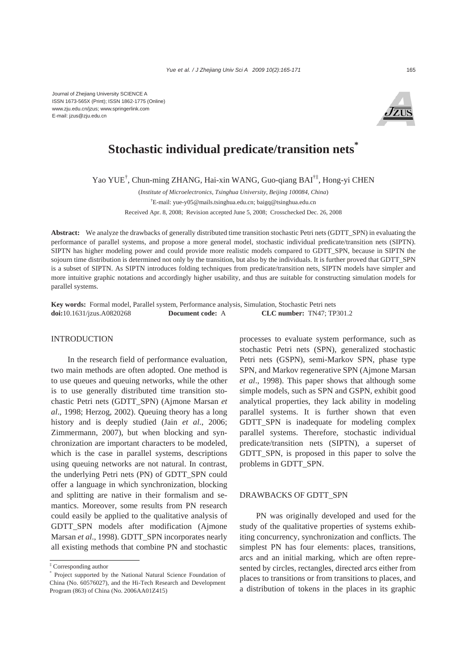

# **Stochastic individual predicate/transition nets<sup>\*</sup>**

Yao YUE† , Chun-ming ZHANG, Hai-xin WANG, Guo-qiang BAI†‡, Hong-yi CHEN

(*Institute of Microelectronics, Tsinghua University, Beijing 100084, China*) † E-mail: yue-y05@mails.tsinghua.edu.cn; baigq@tsinghua.edu.cn Received Apr. 8, 2008; Revision accepted June 5, 2008; Crosschecked Dec. 26, 2008

**Abstract:** We analyze the drawbacks of generally distributed time transition stochastic Petri nets (GDTT\_SPN) in evaluating the performance of parallel systems, and propose a more general model, stochastic individual predicate/transition nets (SIPTN). SIPTN has higher modeling power and could provide more realistic models compared to GDTT\_SPN, because in SIPTN the sojourn time distribution is determined not only by the transition, but also by the individuals. It is further proved that GDTT\_SPN is a subset of SIPTN. As SIPTN introduces folding techniques from predicate/transition nets, SIPTN models have simpler and more intuitive graphic notations and accordingly higher usability, and thus are suitable for constructing simulation models for parallel systems.

**Key words:** Formal model, Parallel system, Performance analysis, Simulation, Stochastic Petri nets **doi:**10.1631/jzus.A0820268 **Document code:** A **CLC number:** TN47; TP301.2

#### INTRODUCTION

In the research field of performance evaluation, two main methods are often adopted. One method is to use queues and queuing networks, while the other is to use generally distributed time transition stochastic Petri nets (GDTT\_SPN) (Ajmone Marsan *et al*., 1998; Herzog, 2002). Queuing theory has a long history and is deeply studied (Jain *et al*., 2006; Zimmermann, 2007), but when blocking and synchronization are important characters to be modeled, which is the case in parallel systems, descriptions using queuing networks are not natural. In contrast, the underlying Petri nets (PN) of GDTT\_SPN could offer a language in which synchronization, blocking and splitting are native in their formalism and semantics. Moreover, some results from PN research could easily be applied to the qualitative analysis of GDTT\_SPN models after modification (Ajmone Marsan *et al*., 1998). GDTT\_SPN incorporates nearly all existing methods that combine PN and stochastic

processes to evaluate system performance, such as stochastic Petri nets (SPN), generalized stochastic Petri nets (GSPN), semi-Markov SPN, phase type SPN, and Markov regenerative SPN (Ajmone Marsan *et al*., 1998). This paper shows that although some simple models, such as SPN and GSPN, exhibit good analytical properties, they lack ability in modeling parallel systems. It is further shown that even GDTT\_SPN is inadequate for modeling complex parallel systems. Therefore, stochastic individual predicate/transition nets (SIPTN), a superset of GDTT\_SPN, is proposed in this paper to solve the problems in GDTT\_SPN.

#### DRAWBACKS OF GDTT\_SPN

PN was originally developed and used for the study of the qualitative properties of systems exhibiting concurrency, synchronization and conflicts. The simplest PN has four elements: places, transitions, arcs and an initial marking, which are often represented by circles, rectangles, directed arcs either from places to transitions or from transitions to places, and a distribution of tokens in the places in its graphic

<sup>‡</sup> Corresponding author

<sup>\*</sup> Project supported by the National Natural Science Foundation of China (No. 60576027), and the Hi-Tech Research and Development Program (863) of China (No. 2006AA01Z415)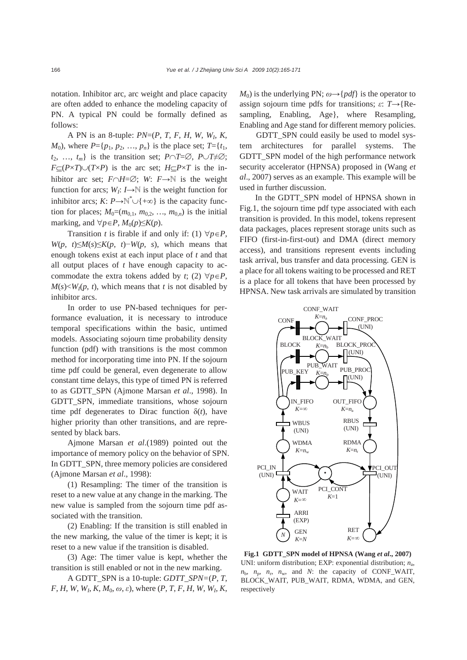notation. Inhibitor arc, arc weight and place capacity are often added to enhance the modeling capacity of PN. A typical PN could be formally defined as follows:

A PN is an 8-tuple: *PN*=(*P*, *T*, *F*, *H*, *W*, *WI*, *K*, *M*<sub>0</sub>), where  $P = \{p_1, p_2, ..., p_n\}$  is the place set;  $T = \{t_1, t_2, ..., t_m\}$ *t*2, …, *tm*} is the transition set; *P*∩*T*=∅, *P*∪*T*≠∅; *F*⊂( $P \times T$ )∪( $T \times P$ ) is the arc set; *H*⊂ $P \times T$  is the inhibitor arc set;  $F \cap H = \emptyset$ ; *W*:  $F \rightarrow \mathbb{N}$  is the weight function for arcs;  $W_I: I \rightarrow \mathbb{N}$  is the weight function for inhibitor arcs; *K*:  $P \rightarrow \mathbb{N}^* \cup \{+\infty\}$  is the capacity function for places;  $M_0=(m_{0,1}, m_{0,2}, ..., m_{0,n})$  is the initial marking, and  $\forall p \in P$ ,  $M_0(p) \le K(p)$ .

Transition *t* is firable if and only if: (1)  $\forall p \in P$ , *W*(*p*, *t*)≤*M*(*s*)≤*K*(*p*, *t*)−*W*(*p*, *s*), which means that enough tokens exist at each input place of *t* and that all output places of *t* have enough capacity to accommodate the extra tokens added by *t*; (2)  $\forall p \in P$ ,  $M(s) \leq W_I(p, t)$ , which means that *t* is not disabled by inhibitor arcs.

In order to use PN-based techniques for performance evaluation, it is necessary to introduce temporal specifications within the basic, untimed models. Associating sojourn time probability density function (pdf) with transitions is the most common method for incorporating time into PN. If the sojourn time pdf could be general, even degenerate to allow constant time delays, this type of timed PN is referred to as GDTT\_SPN (Ajmone Marsan *et al*., 1998). In GDTT SPN, immediate transitions, whose sojourn time pdf degenerates to Dirac function  $\delta(t)$ , have higher priority than other transitions, and are represented by black bars.

Ajmone Marsan *et al*.(1989) pointed out the importance of memory policy on the behavior of SPN. In GDTT SPN, three memory policies are considered (Ajmone Marsan *et al*., 1998):

(1) Resampling: The timer of the transition is reset to a new value at any change in the marking. The new value is sampled from the sojourn time pdf associated with the transition.

(2) Enabling: If the transition is still enabled in the new marking, the value of the timer is kept; it is reset to a new value if the transition is disabled.

(3) Age: The timer value is kept, whether the transition is still enabled or not in the new marking.

A GDTT\_SPN is a 10-tuple: *GDTT\_SPN=*(*P*, *T*,  $F, H, W, W_1, K, M_0, \omega, \varepsilon$ , where  $(P, T, F, H, W, W_1, K, \varepsilon)$   $M_0$ ) is the underlying PN;  $\omega \rightarrow$  {*pdf*} is the operator to assign sojourn time pdfs for transitions; *ε*: *T→*{Resampling, Enabling, Age}, where Resampling, Enabling and Age stand for different memory policies.

GDTT SPN could easily be used to model system architectures for parallel systems. The GDTT\_SPN model of the high performance network security accelerator (HPNSA) proposed in (Wang *et al*., 2007) serves as an example. This example will be used in further discussion.

In the GDTT\_SPN model of HPNSA shown in Fig.1, the sojourn time pdf type associated with each transition is provided. In this model, tokens represent data packages, places represent storage units such as FIFO (first-in-first-out) and DMA (direct memory access), and transitions represent events including task arrival, bus transfer and data processing. GEN is a place for all tokens waiting to be processed and RET is a place for all tokens that have been processed by HPNSA. New task arrivals are simulated by transition



**Fig.1 GDTT\_SPN model of HPNSA (Wang** *et al***., 2007)** UNI: uniform distribution: EXP: exponential distribution: *n*<sub>2</sub>,  $n_{\rm b}$ ,  $n_{\rm r}$ ,  $n_{\rm w}$ , and *N*: the capacity of CONF\_WAIT, BLOCK\_WAIT, PUB\_WAIT, RDMA, WDMA, and GEN, respectively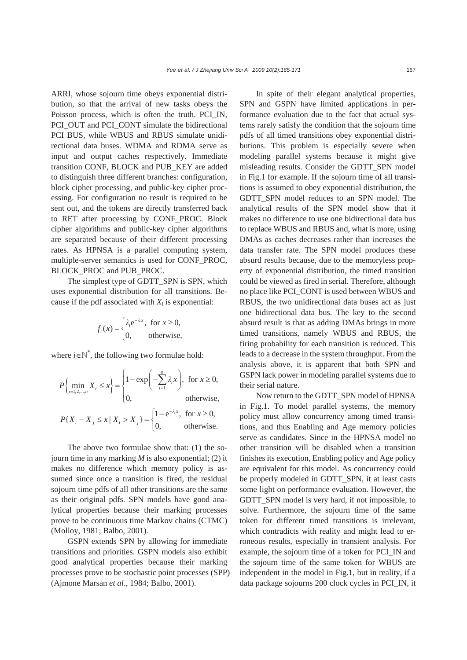ARRI, whose sojourn time obeys exponential distribution, so that the arrival of new tasks obeys the Poisson process, which is often the truth. PCI\_IN, PCI\_OUT and PCI\_CONT simulate the bidirectional PCI BUS, while WBUS and RBUS simulate unidirectional data buses. WDMA and RDMA serve as input and output caches respectively. Immediate transition CONF, BLOCK and PUB\_KEY are added to distinguish three different branches: configuration, block cipher processing, and public-key cipher processing. For configuration no result is required to be sent out, and the tokens are directly transferred back to RET after processing by CONF\_PROC. Block cipher algorithms and public-key cipher algorithms are separated because of their different processing rates. As HPNSA is a parallel computing system, multiple-server semantics is used for CONF\_PROC, BLOCK\_PROC and PUB\_PROC.

The simplest type of GDTT\_SPN is SPN, which uses exponential distribution for all transitions. Because if the pdf associated with  $X_i$  is exponential:

$$
f_i(x) = \begin{cases} \lambda_i e^{-\lambda_i x}, & \text{for } x \ge 0, \\ 0, & \text{otherwise,} \end{cases}
$$

where  $i \in \mathbb{N}^*$ , the following two formulae hold:

$$
P\left\{\min_{i=1,2,\dots,n} X_i \le x\right\} = \begin{cases} 1 - \exp\left(-\sum_{i=1}^n \lambda_i x\right), & \text{for } x \ge 0, \\ 0, & \text{otherwise,} \end{cases}
$$
  

$$
P\{X_i - X_j \le x \mid X_i > X_j\} = \begin{cases} 1 - e^{-\lambda_i x}, & \text{for } x \ge 0, \\ 0, & \text{otherwise.} \end{cases}
$$

The above two formulae show that: (1) the sojourn time in any marking *M* is also exponential; (2) it makes no difference which memory policy is assumed since once a transition is fired, the residual sojourn time pdfs of all other transitions are the same as their original pdfs. SPN models have good analytical properties because their marking processes prove to be continuous time Markov chains (CTMC) (Molloy, 1981; Balbo, 2001).

GSPN extends SPN by allowing for immediate transitions and priorities. GSPN models also exhibit good analytical properties because their marking processes prove to be stochastic point processes (SPP) (Ajmone Marsan *et al*., 1984; Balbo, 2001).

In spite of their elegant analytical properties, SPN and GSPN have limited applications in performance evaluation due to the fact that actual systems rarely satisfy the condition that the sojourn time pdfs of all timed transitions obey exponential distributions. This problem is especially severe when modeling parallel systems because it might give misleading results. Consider the GDTT\_SPN model in Fig.1 for example. If the sojourn time of all transitions is assumed to obey exponential distribution, the GDTT\_SPN\_model\_reduces\_to\_an\_SPN\_model. The analytical results of the SPN model show that it makes no difference to use one bidirectional data bus to replace WBUS and RBUS and, what is more, using DMAs as caches decreases rather than increases the data transfer rate. The SPN model produces these absurd results because, due to the memoryless property of exponential distribution, the timed transition could be viewed as fired in serial. Therefore, although no place like PCI\_CONT is used between WBUS and RBUS, the two unidirectional data buses act as just one bidirectional data bus. The key to the second absurd result is that as adding DMAs brings in more timed transitions, namely WBUS and RBUS, the firing probability for each transition is reduced. This leads to a decrease in the system throughput. From the analysis above, it is apparent that both SPN and GSPN lack power in modeling parallel systems due to their serial nature.

Now return to the GDTT\_SPN model of HPNSA in Fig.1. To model parallel systems, the memory policy must allow concurrency among timed transitions, and thus Enabling and Age memory policies serve as candidates. Since in the HPNSA model no other transition will be disabled when a transition finishes its execution, Enabling policy and Age policy are equivalent for this model. As concurrency could be properly modeled in GDTT\_SPN, it at least casts some light on performance evaluation. However, the GDTT\_SPN model is very hard, if not impossible, to solve. Furthermore, the sojourn time of the same token for different timed transitions is irrelevant, which contradicts with reality and might lead to erroneous results, especially in transient analysis. For example, the sojourn time of a token for PCI\_IN and the sojourn time of the same token for WBUS are independent in the model in Fig.1, but in reality, if a data package sojourns 200 clock cycles in PCI\_IN, it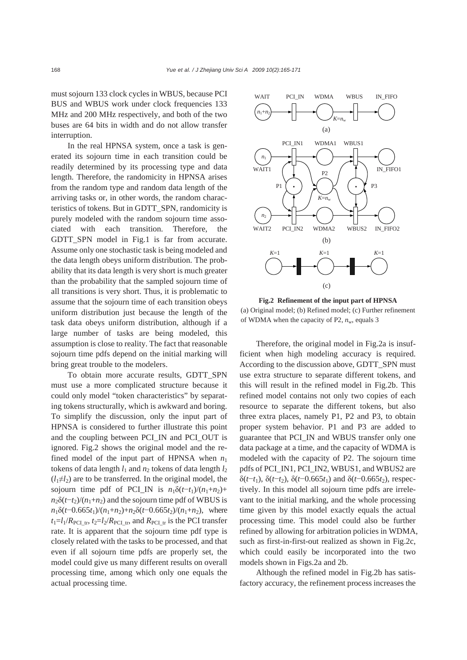must sojourn 133 clock cycles in WBUS, because PCI BUS and WBUS work under clock frequencies 133 MHz and 200 MHz respectively, and both of the two buses are 64 bits in width and do not allow transfer interruption.

In the real HPNSA system, once a task is generated its sojourn time in each transition could be readily determined by its processing type and data length. Therefore, the randomicity in HPNSA arises from the random type and random data length of the arriving tasks or, in other words, the random characteristics of tokens. But in GDTT\_SPN, randomicity is purely modeled with the random sojourn time associated with each transition. Therefore, the GDTT SPN model in Fig.1 is far from accurate. Assume only one stochastic task is being modeled and the data length obeys uniform distribution. The probability that its data length is very short is much greater than the probability that the sampled sojourn time of all transitions is very short. Thus, it is problematic to assume that the sojourn time of each transition obeys uniform distribution just because the length of the task data obeys uniform distribution, although if a large number of tasks are being modeled, this assumption is close to reality. The fact that reasonable sojourn time pdfs depend on the initial marking will bring great trouble to the modelers.

To obtain more accurate results, GDTT\_SPN must use a more complicated structure because it could only model "token characteristics" by separating tokens structurally, which is awkward and boring. To simplify the discussion, only the input part of HPNSA is considered to further illustrate this point and the coupling between PCI\_IN and PCI\_OUT is ignored. Fig.2 shows the original model and the refined model of the input part of HPNSA when  $n_1$ tokens of data length  $l_1$  and  $n_2$  tokens of data length  $l_2$  $(l_1 \neq l_2)$  are to be transferred. In the original model, the sojourn time pdf of PCI IN is  $n_1\delta(t-t_1)/(n_1+n_2)+$  $n_2\delta(t-t_2)/(n_1+n_2)$  and the sojourn time pdf of WBUS is  $n_1\delta(t-0.665t_1)/(n_1+n_2)+n_2\delta(t-0.665t_2)/(n_1+n_2)$ , where  $t_1 = l_1/R_{\text{PCI}}$ <sub>tr</sub>,  $t_2 = l_2/R_{\text{PCI}}$ <sub>tr</sub>, and  $R_{\text{PCI}}$ <sub>tr</sub> is the PCI transfer rate. It is apparent that the sojourn time pdf type is closely related with the tasks to be processed, and that even if all sojourn time pdfs are properly set, the model could give us many different results on overall processing time, among which only one equals the actual processing time.



**Fig.2 Refinement of the input part of HPNSA**  (a) Original model; (b) Refined model; (c) Further refinement of WDMA when the capacity of P2,  $n_w$ , equals 3

Therefore, the original model in Fig.2a is insufficient when high modeling accuracy is required. According to the discussion above, GDTT\_SPN must use extra structure to separate different tokens, and this will result in the refined model in Fig.2b. This refined model contains not only two copies of each resource to separate the different tokens, but also three extra places, namely P1, P2 and P3, to obtain proper system behavior. P1 and P3 are added to guarantee that PCI\_IN and WBUS transfer only one data package at a time, and the capacity of WDMA is modeled with the capacity of P2. The sojourn time pdfs of PCI\_IN1, PCI\_IN2, WBUS1, and WBUS2 are  $δ(t-t<sub>1</sub>), δ(t-t<sub>2</sub>), δ(t-0.665t<sub>1</sub>)$  and  $δ(t-0.665t<sub>2</sub>)$ , respectively. In this model all sojourn time pdfs are irrelevant to the initial marking, and the whole processing time given by this model exactly equals the actual processing time. This model could also be further refined by allowing for arbitration policies in WDMA, such as first-in-first-out realized as shown in Fig.2c, which could easily be incorporated into the two models shown in Figs.2a and 2b.

Although the refined model in Fig.2b has satisfactory accuracy, the refinement process increases the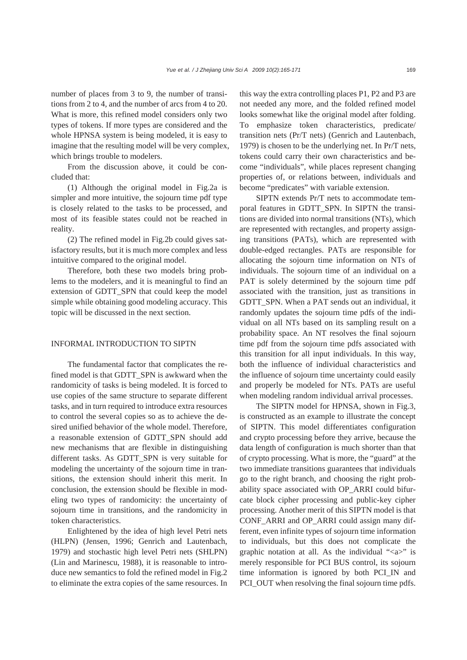number of places from 3 to 9, the number of transitions from 2 to 4, and the number of arcs from 4 to 20. What is more, this refined model considers only two types of tokens. If more types are considered and the whole HPNSA system is being modeled, it is easy to imagine that the resulting model will be very complex, which brings trouble to modelers.

From the discussion above, it could be concluded that:

(1) Although the original model in Fig.2a is simpler and more intuitive, the sojourn time pdf type is closely related to the tasks to be processed, and most of its feasible states could not be reached in reality.

(2) The refined model in Fig.2b could gives satisfactory results, but it is much more complex and less intuitive compared to the original model.

Therefore, both these two models bring problems to the modelers, and it is meaningful to find an extension of GDTT\_SPN that could keep the model simple while obtaining good modeling accuracy. This topic will be discussed in the next section.

### INFORMAL INTRODUCTION TO SIPTN

The fundamental factor that complicates the refined model is that GDTT\_SPN is awkward when the randomicity of tasks is being modeled. It is forced to use copies of the same structure to separate different tasks, and in turn required to introduce extra resources to control the several copies so as to achieve the desired unified behavior of the whole model. Therefore, a reasonable extension of GDTT\_SPN should add new mechanisms that are flexible in distinguishing different tasks. As GDTT\_SPN is very suitable for modeling the uncertainty of the sojourn time in transitions, the extension should inherit this merit. In conclusion, the extension should be flexible in modeling two types of randomicity: the uncertainty of sojourn time in transitions, and the randomicity in token characteristics.

Enlightened by the idea of high level Petri nets (HLPN) (Jensen, 1996; Genrich and Lautenbach, 1979) and stochastic high level Petri nets (SHLPN) (Lin and Marinescu, 1988), it is reasonable to introduce new semantics to fold the refined model in Fig.2 to eliminate the extra copies of the same resources. In

this way the extra controlling places P1, P2 and P3 are not needed any more, and the folded refined model looks somewhat like the original model after folding. To emphasize token characteristics, predicate/ transition nets (Pr/T nets) (Genrich and Lautenbach, 1979) is chosen to be the underlying net. In Pr/T nets, tokens could carry their own characteristics and become "individuals", while places represent changing properties of, or relations between, individuals and become "predicates" with variable extension.

SIPTN extends Pr/T nets to accommodate temporal features in GDTT\_SPN. In SIPTN the transitions are divided into normal transitions (NTs), which are represented with rectangles, and property assigning transitions (PATs), which are represented with double-edged rectangles. PATs are responsible for allocating the sojourn time information on NTs of individuals. The sojourn time of an individual on a PAT is solely determined by the sojourn time pdf associated with the transition, just as transitions in GDTT\_SPN. When a PAT sends out an individual, it randomly updates the sojourn time pdfs of the individual on all NTs based on its sampling result on a probability space. An NT resolves the final sojourn time pdf from the sojourn time pdfs associated with this transition for all input individuals. In this way, both the influence of individual characteristics and the influence of sojourn time uncertainty could easily and properly be modeled for NTs. PATs are useful when modeling random individual arrival processes.

The SIPTN model for HPNSA, shown in Fig.3, is constructed as an example to illustrate the concept of SIPTN. This model differentiates configuration and crypto processing before they arrive, because the data length of configuration is much shorter than that of crypto processing. What is more, the "guard" at the two immediate transitions guarantees that individuals go to the right branch, and choosing the right probability space associated with OP\_ARRI could bifurcate block cipher processing and public-key cipher processing. Another merit of this SIPTN model is that CONF\_ARRI and OP\_ARRI could assign many different, even infinite types of sojourn time information to individuals, but this does not complicate the graphic notation at all. As the individual " $\langle a \rangle$ " is merely responsible for PCI BUS control, its sojourn time information is ignored by both PCI\_IN and PCI\_OUT when resolving the final sojourn time pdfs.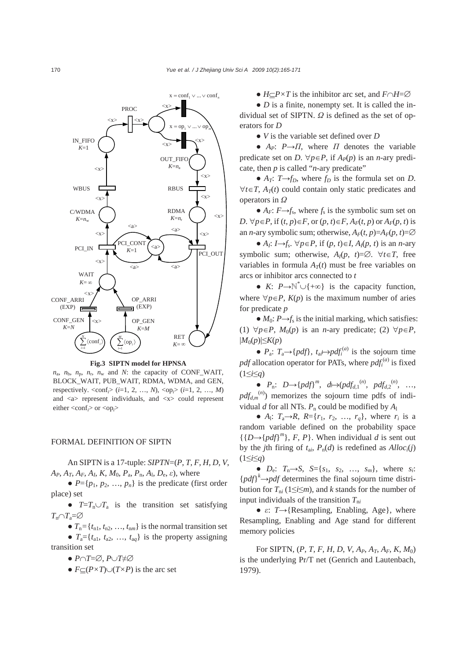

**Fig.3 SIPTN model for HPNSA** 

 $n_a$ ,  $n_b$ ,  $n_r$ ,  $n_w$  and *N*: the capacity of CONF\_WAIT, BLOCK\_WAIT, PUB\_WAIT, RDMA, WDMA, and GEN, respectively. <conf*i*> (*i*=1, 2, …, *N*), <op*i*> (*i*=1, 2, …, *M*) and  $\langle a \rangle$  represent individuals, and  $\langle x \rangle$  could represent either <conf<sub>*i*</sub>> or <op<sub>*i*</sub>>

#### FORMAL DEFINITION OF SIPTN

An SIPTN is a 17-tuple: *SIPTN*=(*P*, *T*, *F*, *H*, *D*, *V*,  $A_P$ ,  $A_T$ ,  $A_F$ ,  $A_I$ ,  $K$ ,  $M_0$ ,  $P_a$ ,  $P_n$ ,  $A_l$ ,  $D_e$ ,  $\varepsilon$ ), where

 $\bullet$  *P*={ $p_1, p_2, ..., p_n$ } is the predicate (first order place) set

 $\bullet$  *T*=*T*<sub>n</sub>∪*T*<sub>a</sub> is the transition set satisfying  $T_n$ ∩ $T_n$ =∅

 $\bullet$   $T_n = \{t_{n1}, t_{n2}, \ldots, t_{nm}\}\$ is the normal transition set

•  $T_a = \{t_{a1}, t_{a2}, \ldots, t_{aq}\}$  is the property assigning transition set

- *P*∩*T*=∅, *P*∪*T*≠∅
- $\bullet$  *F*⊂(*P*×*T*)∪(*T*×*P*) is the arc set

● *H*⊆*P×T* is the inhibitor arc set, and *F*∩*H*=∅

• *D* is a finite, nonempty set. It is called the individual set of SIPTN. *Ω* is defined as the set of operators for *D* 

● *V* is the variable set defined over *D* 

•  $A_p$ :  $P \rightarrow \Pi$ , where  $\Pi$  denotes the variable predicate set on *D*.  $\forall p \in P$ , if  $A_p(p)$  is an *n*-ary predicate, then *p* is called "*n*-ary predicate"

•  $A_T$ :  $T \rightarrow f_D$ , where  $f_D$  is the formula set on *D*.  $\forall t \in T$ , *A<sub>T</sub>*(*t*) could contain only static predicates and operators in *Ω*

 $\bullet$  *A<sub>F</sub>*: *F* $\rightarrow$ *f<sub>s</sub>*, where *f<sub>s</sub>* is the symbolic sum set on *D*. ∀*p*∈*P*, if  $(t, p) ∈ F$ , or  $(p, t) ∈ F$ ,  $A_F(t, p)$  or  $A_F(p, t)$  is an *n*-ary symbolic sum; otherwise,  $A_F(t, p) = A_F(p, t) = \emptyset$ 

 $\bullet$  *A<sub>I</sub>*: *I*→*f*<sub>s</sub>.  $\forall p \in P$ , if  $(p, t) \in I$ ,  $A_1(p, t)$  is an *n*-ary symbolic sum; otherwise,  $A_i(p, t) = \emptyset$ .  $\forall t \in T$ , free variables in formula  $A_T(t)$  must be free variables on arcs or inhibitor arcs connected to *t* 

• *K*:  $P \rightarrow \mathbb{N}^* \cup \{+\infty\}$  is the capacity function, where  $\forall p \in P$ ,  $K(p)$  is the maximum number of aries for predicate *p* 

 $\bullet$  *M*<sub>0</sub>: *P* $\rightarrow$ *f*<sub>s</sub> is the initial marking, which satisfies: (1)  $\forall p \in P$ ,  $M_0(p)$  is an *n*-ary predicate; (2)  $\forall p \in P$ ,  $|M_0(p)|$ ≤*K*(*p*)

•  $P_a: T_a \rightarrow \{pdf\}, t_{ai} \rightarrow pdf_i^{(a)}$  is the sojourn time pdf allocation operator for PATs, where  $pdf_i^{(a)}$  is fixed (1≤*i*≤*q*)

•  $P_n: D \to \{pdf\}^m, d \mapsto (pdf_{d,1}^{(n)}, pdf_{d,2}^{(n)}, ...,$  $pdf_{d,m}^{(n)}$  memorizes the sojourn time pdfs of individual *d* for all NTs.  $P_n$  could be modified by  $A_1$ 

• *A*<sub>1</sub>:  $T_a \rightarrow R$ ,  $R = \{r_1, r_2, ..., r_a\}$ , where  $r_i$  is a random variable defined on the probability space  $\{ {D \rightarrow \{pdf\}}^m \}, F, P \}.$  When individual *d* is sent out by the *j*th firing of  $t_{ai}$ ,  $P_n(d)$  is redefined as  $Alloc_i(j)$ (1≤*i*≤*q*)

●  $D_e$ :  $T_n \rightarrow S$ ,  $S = \{s_1, s_2, ..., s_m\}$ , where  $s_i$ :  ${pdf}^k \rightarrow pdf$  determines the final sojourn time distribution for  $T_{ni}$  (1≤*i*≤*m*), and *k* stands for the number of input individuals of the transition  $T_{ni}$ 

● *ε*: *T*→{Resampling, Enabling, Age}, where Resampling, Enabling and Age stand for different memory policies

For SIPTN, (*P*, *T*, *F*, *H*, *D*, *V*, *AP*, *AT*, *AF*, *K*, *M*0) is the underlying Pr/T net (Genrich and Lautenbach, 1979).